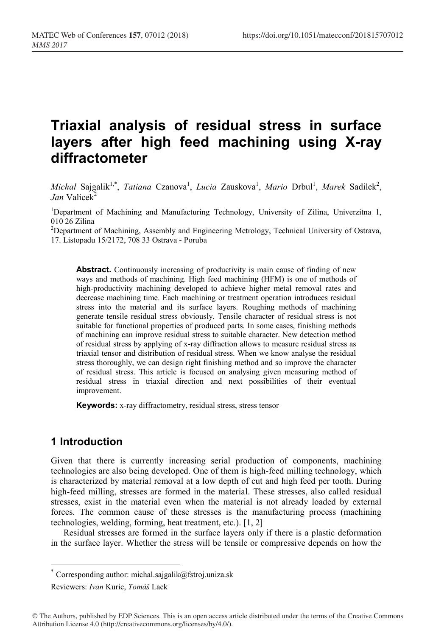# **Triaxial analysis of residual stress in surface layers after high feed machining using X-ray diffractometer**

*Michal* Sajgalik<sup>1,\*</sup>, *Tatiana* Czanova<sup>1</sup>, *Lucia* Zauskova<sup>1</sup>, *Mario* Drbul<sup>1</sup>, *Marek* Sadilek<sup>2</sup>, *Jan* Valicek<sup>2</sup>

<sup>1</sup>Department of Machining and Manufacturing Technology, University of Zilina, Univerzitna 1,  $010$  26 Zilina

<sup>2</sup>Department of Machining, Assembly and Engineering Metrology, Technical University of Ostrava, 17. Listopadu 15/2172, 708 33 Ostrava - Poruba

**Abstract.** Continuously increasing of productivity is main cause of finding of new ways and methods of machining. High feed machining (HFM) is one of methods of high-productivity machining developed to achieve higher metal removal rates and decrease machining time. Each machining or treatment operation introduces residual stress into the material and its surface layers. Roughing methods of machining generate tensile residual stress obviously. Tensile character of residual stress is not suitable for functional properties of produced parts. In some cases, finishing methods of machining can improve residual stress to suitable character. New detection method of residual stress by applying of x-ray diffraction allows to measure residual stress as triaxial tensor and distribution of residual stress. When we know analyse the residual stress thoroughly, we can design right finishing method and so improve the character of residual stress. This article is focused on analysing given measuring method of residual stress in triaxial direction and next possibilities of their eventual improvement.

**Keywords:** x-ray diffractometry, residual stress, stress tensor

# **1 Introduction**

Given that there is currently increasing serial production of components, machining technologies are also being developed. One of them is high-feed milling technology, which is characterized by material removal at a low depth of cut and high feed per tooth. During high-feed milling, stresses are formed in the material. These stresses, also called residual stresses, exist in the material even when the material is not already loaded by external forces. The common cause of these stresses is the manufacturing process (machining technologies, welding, forming, heat treatment, etc.). [1, 2]

Residual stresses are formed in the surface layers only if there is a plastic deformation in the surface layer. Whether the stress will be tensile or compressive depends on how the

Corresponding author: michal.sajgalik@fstroj.uniza.sk

Reviewers: *Ivan* Kuric, *Tomáš* Lack

<sup>©</sup> The Authors, published by EDP Sciences. This is an open access article distributed under the terms of the Creative Commons Attribution License 4.0 (http://creativecommons.org/licenses/by/4.0/).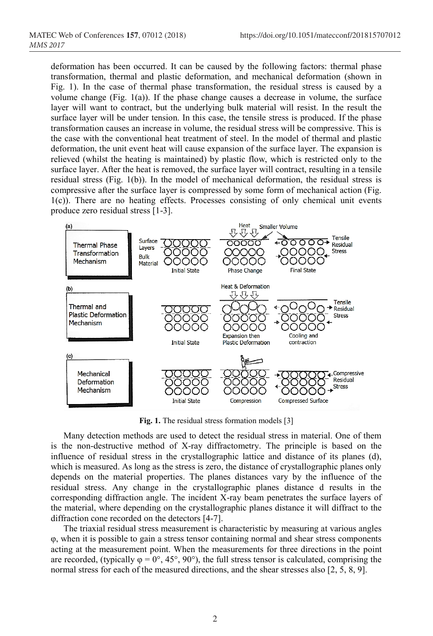deformation has been occurred. It can be caused by the following factors: thermal phase transformation, thermal and plastic deformation, and mechanical deformation (shown in Fig. 1). In the case of thermal phase transformation, the residual stress is caused by a volume change (Fig. 1(a)). If the phase change causes a decrease in volume, the surface layer will want to contract, but the underlying bulk material will resist. In the result the surface layer will be under tension. In this case, the tensile stress is produced. If the phase transformation causes an increase in volume, the residual stress will be compressive. This is the case with the conventional heat treatment of steel. In the model of thermal and plastic deformation, the unit event heat will cause expansion of the surface layer. The expansion is relieved (whilst the heating is maintained) by plastic flow, which is restricted only to the surface layer. After the heat is removed, the surface layer will contract, resulting in a tensile residual stress (Fig. 1(b)). In the model of mechanical deformation, the residual stress is compressive after the surface layer is compressed by some form of mechanical action (Fig. 1(c)). There are no heating effects. Processes consisting of only chemical unit events produce zero residual stress [1-3].



**Fig. 1.** The residual stress formation models [3]

Many detection methods are used to detect the residual stress in material. One of them is the non-destructive method of X-ray diffractometry. The principle is based on the influence of residual stress in the crystallographic lattice and distance of its planes (d), which is measured. As long as the stress is zero, the distance of crystallographic planes only depends on the material properties. The planes distances vary by the influence of the residual stress. Any change in the crystallographic planes distance d results in the corresponding diffraction angle. The incident X-ray beam penetrates the surface layers of the material, where depending on the crystallographic planes distance it will diffract to the diffraction cone recorded on the detectors [4-7].

The triaxial residual stress measurement is characteristic by measuring at various angles φ, when it is possible to gain a stress tensor containing normal and shear stress components acting at the measurement point. When the measurements for three directions in the point are recorded, (typically  $\varphi = 0^\circ$ , 45°, 90°), the full stress tensor is calculated, comprising the normal stress for each of the measured directions, and the shear stresses also [2, 5, 8, 9].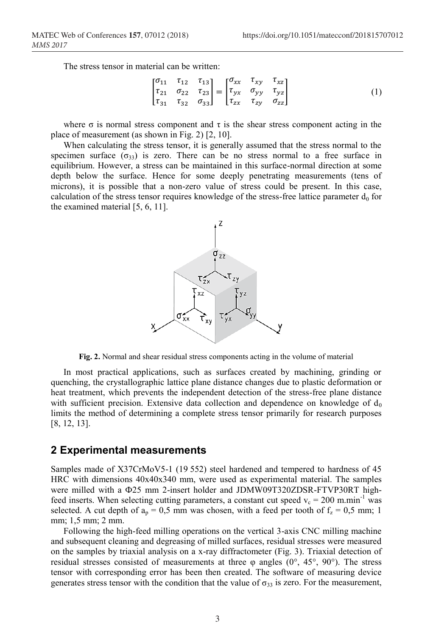The stress tensor in material can be written:

$$
\begin{bmatrix} \sigma_{11} & \tau_{12} & \tau_{13} \\ \tau_{21} & \sigma_{22} & \tau_{23} \\ \tau_{31} & \tau_{32} & \sigma_{33} \end{bmatrix} = \begin{bmatrix} \sigma_{xx} & \tau_{xy} & \tau_{xz} \\ \tau_{yx} & \sigma_{yy} & \tau_{yz} \\ \tau_{zx} & \tau_{zy} & \sigma_{zz} \end{bmatrix}
$$
 (1)

where  $\sigma$  is normal stress component and  $\tau$  is the shear stress component acting in the place of measurement (as shown in Fig. 2) [2, 10].

When calculating the stress tensor, it is generally assumed that the stress normal to the specimen surface  $(\sigma_{33})$  is zero. There can be no stress normal to a free surface in equilibrium. However, a stress can be maintained in this surface-normal direction at some depth below the surface. Hence for some deeply penetrating measurements (tens of microns), it is possible that a non-zero value of stress could be present. In this case, calculation of the stress tensor requires knowledge of the stress-free lattice parameter  $d_0$  for the examined material [5, 6, 11].



**Fig. 2.** Normal and shear residual stress components acting in the volume of material

In most practical applications, such as surfaces created by machining, grinding or quenching, the crystallographic lattice plane distance changes due to plastic deformation or heat treatment, which prevents the independent detection of the stress-free plane distance with sufficient precision. Extensive data collection and dependence on knowledge of  $d_0$ limits the method of determining a complete stress tensor primarily for research purposes [8, 12, 13].

### **2 Experimental measurements**

Samples made of X37CrMoV5-1 (19 552) steel hardened and tempered to hardness of 45 HRC with dimensions 40x40x340 mm, were used as experimental material. The samples were milled with a Ф25 mm 2-insert holder and JDMW09T320ZDSR-FTVP30RT highfeed inserts. When selecting cutting parameters, a constant cut speed  $v_c = 200$  m.min<sup>-1</sup> was selected. A cut depth of  $a_p = 0.5$  mm was chosen, with a feed per tooth of  $f_z = 0.5$  mm; 1 mm; 1,5 mm; 2 mm.

Following the high-feed milling operations on the vertical 3-axis CNC milling machine and subsequent cleaning and degreasing of milled surfaces, residual stresses were measured on the samples by triaxial analysis on a x-ray diffractometer (Fig. 3). Triaxial detection of residual stresses consisted of measurements at three  $\varphi$  angles (0°, 45°, 90°). The stress tensor with corresponding error has been then created. The software of measuring device generates stress tensor with the condition that the value of  $\sigma_{33}$  is zero. For the measurement,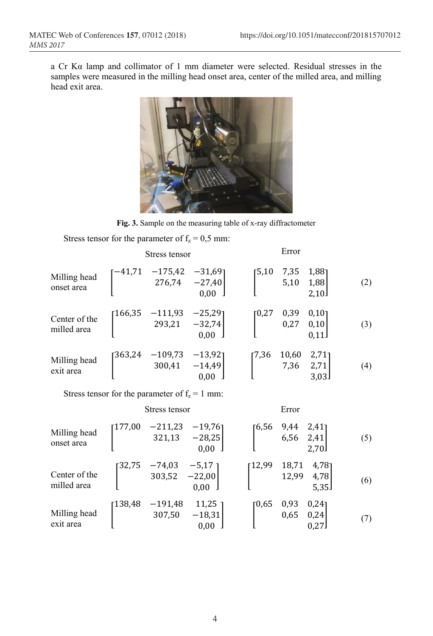a Cr Kα lamp and collimator of 1 mm diameter were selected. Residual stresses in the samples were measured in the milling head onset area, center of the milled area, and milling head exit area.



**Fig. 3.** Sample on the measuring table of x-ray diffractometer

Stress tensor for the parameter of  $f_z = 0.5$  mm:

|                              | Stress tensor |                                                                              |      | Error                                                        |                                                                    |                                |     |
|------------------------------|---------------|------------------------------------------------------------------------------|------|--------------------------------------------------------------|--------------------------------------------------------------------|--------------------------------|-----|
| Milling head<br>onset area   |               | $\begin{bmatrix} -41,71 & -175,42 & -31,69 \\ 276,74 & -27,40 \end{bmatrix}$ | 0,00 | $\begin{bmatrix} 5,10 & 7,35 & 1, 5,10 & 1,88 \end{bmatrix}$ |                                                                    | 2,10                           | (2) |
| Center of the<br>milled area |               | $\begin{bmatrix} 166,35 & -111,93 & -25,29 \\ 293,21 & -32,74 \end{bmatrix}$ | 0.00 | [0,27]                                                       |                                                                    | $0,39$ v,<br>0,27 0,10<br>0.11 | (3) |
| Milling head<br>exit area    |               | $\begin{bmatrix} 363,24 & -109,73 & -13,92 \\ 300,41 & -14,49 \end{bmatrix}$ | 0,00 |                                                              | $\begin{bmatrix} 7,36 & 10,60 & 2,71 \\ 7,36 & 2,71 \end{bmatrix}$ | $2,71$ ]<br>3,03               | (4) |

Stress tensor for the parameter of  $f_z = 1$  mm:

|                              | Stress tensor                                                                               | Error                                                                     |     |
|------------------------------|---------------------------------------------------------------------------------------------|---------------------------------------------------------------------------|-----|
| Milling head<br>onset area   | $-211,23$<br>177,00<br>$-19,76$ ]<br>$321,13 -28,25$<br>$0,00$ 1                            | $\begin{bmatrix} 6,56 & 9,44 & 2,41 \\ 6,56 & 2,41 \end{bmatrix}$<br>2,70 | (5) |
| Center of the<br>milled area | $\begin{bmatrix} 32.75 & -74.03 \\ & 303.52 \end{bmatrix}$<br>$-5,17$ ]<br>$-22,00$<br>0,00 | 12,99<br>18,71<br>12,99<br>4,781<br>4,78<br>5,35                          | (6) |
| Milling head<br>exit area    | $11,25$ ]<br>$-191,48$<br>138,48<br>307,50<br>$-18,31$<br>0,00                              | $0,24$ ]<br>0,93<br>0,65<br>10,65<br>0,24<br>0,27                         | (7) |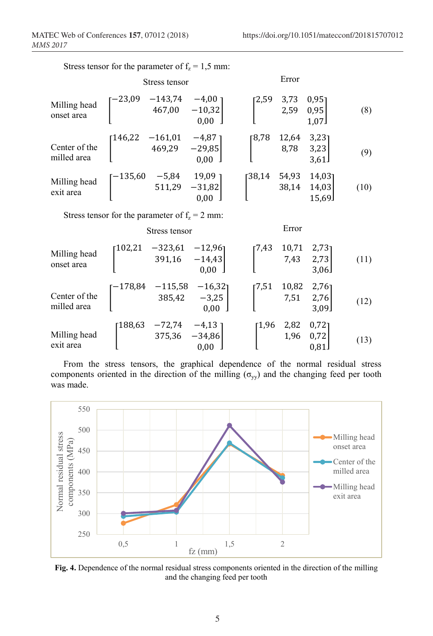|                                                  | Stress tensor                                                                        |               |                                                                                                      | Error        |                                                                                  |                          |      |
|--------------------------------------------------|--------------------------------------------------------------------------------------|---------------|------------------------------------------------------------------------------------------------------|--------------|----------------------------------------------------------------------------------|--------------------------|------|
| Milling head<br>onset area                       | $\begin{bmatrix} -23,09 & -143,74 & -4,00 \\ 467,00 & -10,32 \\ 0 & 0 \end{bmatrix}$ |               | $0.00$ J                                                                                             |              | $\begin{bmatrix} 2.59 & 3.73 & 0.95 \\ 2.59 & 0.95 \\ 1.25 & 1.87 \end{bmatrix}$ | 1,07                     | (8)  |
| Center of the<br>milled area                     |                                                                                      |               | $\begin{bmatrix} 146,22 & -161,01 & -4,87 \\ 469,29 & -29,85 \end{bmatrix}$<br>$0,00$ 1              |              | [8,78 12,64<br>$8,78$ 3,23                                                       | $3,23$ ]<br>3,61         | (9)  |
| Milling head<br>exit area                        |                                                                                      |               | $\begin{bmatrix} -135{,}60 & -5{,}84 & 19{,}09 \\ 511{,}29 & -31{,}82 \\ 0{,}00 \end{bmatrix}$       | [38,14 54,93 | 38,14                                                                            | 14,031<br>14,03<br>15,69 | (10) |
| Stress tensor for the parameter of $f_z = 2$ mm: |                                                                                      |               |                                                                                                      |              |                                                                                  |                          |      |
|                                                  |                                                                                      | Stress tensor |                                                                                                      |              | Error                                                                            |                          |      |
| Milling head<br>onset area                       |                                                                                      |               | $\begin{bmatrix} 102,21 & -323,61 & -12,96 \\ & 391,16 & -14,43 \\ & & 0,00 \end{bmatrix}$           |              | $\begin{bmatrix} 7,43 & 10,71 & 2,73 \\ 7,43 & 2,73 \\ 3 & 2,06 \end{bmatrix}$   | 3,06                     | (11) |
| Center of the<br>milled area                     |                                                                                      |               | $\begin{bmatrix} -178,84 & -115,58 & -16,32 \\ 385,42 & -3,25 \\ 0 & 0.0 \end{bmatrix}$<br>0,00      |              | $\begin{bmatrix} 7.51 & 10.82 & 2.76 \\ & 7.51 & 2.76 \end{bmatrix}$             | 3,09                     | (12) |
| Milling head<br>exit area                        |                                                                                      |               | $\begin{bmatrix} 188,63 & -72,74 & -4,13 \\ & 375,36 & -34,86 \\ & & 0,00 \end{bmatrix}$<br>$0,00$ ] |              | $\begin{bmatrix} 1.96 & 2.82 \\ & 1.96 \end{bmatrix}$                            | 0,72<br>0,72<br>0,81     | (13) |

Stress tensor for the parameter of  $f_z = 1.5$  mm:

From the stress tensors, the graphical dependence of the normal residual stress components oriented in the direction of the milling ( $\sigma_{yy}$ ) and the changing feed per tooth was made.



**Fig. 4.** Dependence of the normal residual stress components oriented in the direction of the milling and the changing feed per tooth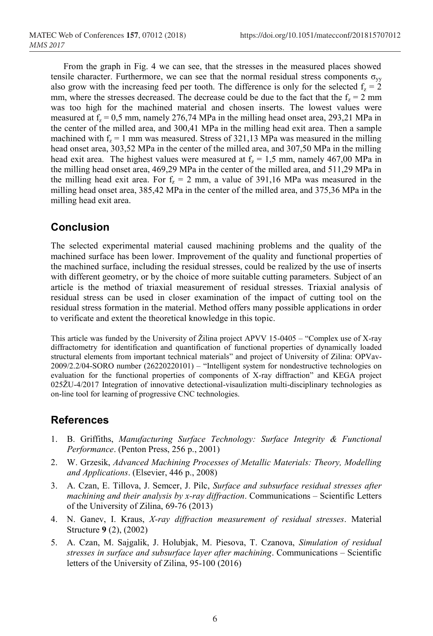From the graph in Fig. 4 we can see, that the stresses in the measured places showed tensile character. Furthermore, we can see that the normal residual stress components  $\sigma_{vv}$ also grow with the increasing feed per tooth. The difference is only for the selected  $f_z = 2$ mm, where the stresses decreased. The decrease could be due to the fact that the  $f<sub>z</sub> = 2$  mm was too high for the machined material and chosen inserts. The lowest values were measured at  $f_z = 0.5$  mm, namely 276,74 MPa in the milling head onset area, 293,21 MPa in the center of the milled area, and 300,41 MPa in the milling head exit area. Then a sample machined with  $f_z = 1$  mm was measured. Stress of 321,13 MPa was measured in the milling head onset area, 303,52 MPa in the center of the milled area, and 307,50 MPa in the milling head exit area. The highest values were measured at  $f<sub>z</sub> = 1.5$  mm, namely 467,00 MPa in the milling head onset area, 469,29 MPa in the center of the milled area, and 511,29 MPa in the milling head exit area. For  $f_z = 2$  mm, a value of 391,16 MPa was measured in the milling head onset area, 385,42 MPa in the center of the milled area, and 375,36 MPa in the milling head exit area.

# **Conclusion**

The selected experimental material caused machining problems and the quality of the machined surface has been lower. Improvement of the quality and functional properties of the machined surface, including the residual stresses, could be realized by the use of inserts with different geometry, or by the choice of more suitable cutting parameters. Subject of an article is the method of triaxial measurement of residual stresses. Triaxial analysis of residual stress can be used in closer examination of the impact of cutting tool on the residual stress formation in the material. Method offers many possible applications in order to verificate and extent the theoretical knowledge in this topic.

This article was funded by the University of Žilina project APVV 15-0405 – "Complex use of X-ray diffractometry for identification and quantification of functional properties of dynamically loaded structural elements from important technical materials" and project of University of Zilina: OPVav-2009/2.2/04-SORO number (26220220101) – "Intelligent system for nondestructive technologies on evaluation for the functional properties of components of X-ray diffraction" and KEGA project 025ŽU-4/2017 Integration of innovative detectional-visaulization multi-disciplinary technologies as on-line tool for learning of progressive CNC technologies.

# **References**

- 1. B. Griffiths, *Manufacturing Surface Technology: Surface Integrity & Functional Performance*. (Penton Press, 256 p., 2001)
- 2. W. Grzesik, *Advanced Machining Processes of Metallic Materials: Theory, Modelling and Applications*. (Elsevier, 446 p., 2008)
- 3. A. Czan, E. Tillova, J. Semcer, J. Pilc, *Surface and subsurface residual stresses after machining and their analysis by x-ray diffraction*. Communications – Scientific Letters of the University of Zilina, 69-76 (2013)
- 4. N. Ganev, I. Kraus, *X-ray diffraction measurement of residual stresses*. Material Structure **9** (2), (2002)
- 5. A. Czan, M. Sajgalik, J. Holubjak, M. Piesova, T. Czanova, *Simulation of residual stresses in surface and subsurface layer after machining*. Communications – Scientific letters of the University of Zilina, 95-100 (2016)